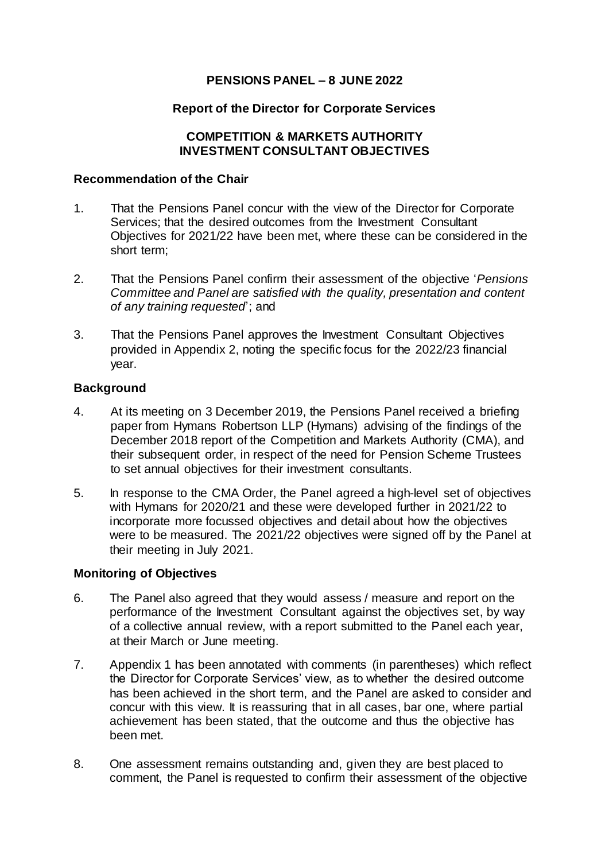# **PENSIONS PANEL – 8 JUNE 2022**

### **Report of the Director for Corporate Services**

### **COMPETITION & MARKETS AUTHORITY INVESTMENT CONSULTANT OBJECTIVES**

#### **Recommendation of the Chair**

- 1. That the Pensions Panel concur with the view of the Director for Corporate Services; that the desired outcomes from the Investment Consultant Objectives for 2021/22 have been met, where these can be considered in the short term;
- 2. That the Pensions Panel confirm their assessment of the objective '*Pensions Committee and Panel are satisfied with the quality, presentation and content of any training requested*'; and
- 3. That the Pensions Panel approves the Investment Consultant Objectives provided in Appendix 2, noting the specific focus for the 2022/23 financial year.

### **Background**

- 4. At its meeting on 3 December 2019, the Pensions Panel received a briefing paper from Hymans Robertson LLP (Hymans) advising of the findings of the December 2018 report of the Competition and Markets Authority (CMA), and their subsequent order, in respect of the need for Pension Scheme Trustees to set annual objectives for their investment consultants.
- 5. In response to the CMA Order, the Panel agreed a high-level set of objectives with Hymans for 2020/21 and these were developed further in 2021/22 to incorporate more focussed objectives and detail about how the objectives were to be measured. The 2021/22 objectives were signed off by the Panel at their meeting in July 2021.

#### **Monitoring of Objectives**

- 6. The Panel also agreed that they would assess / measure and report on the performance of the Investment Consultant against the objectives set, by way of a collective annual review, with a report submitted to the Panel each year, at their March or June meeting.
- 7. Appendix 1 has been annotated with comments (in parentheses) which reflect the Director for Corporate Services' view, as to whether the desired outcome has been achieved in the short term, and the Panel are asked to consider and concur with this view. It is reassuring that in all cases, bar one, where partial achievement has been stated, that the outcome and thus the objective has been met.
- 8. One assessment remains outstanding and, given they are best placed to comment, the Panel is requested to confirm their assessment of the objective